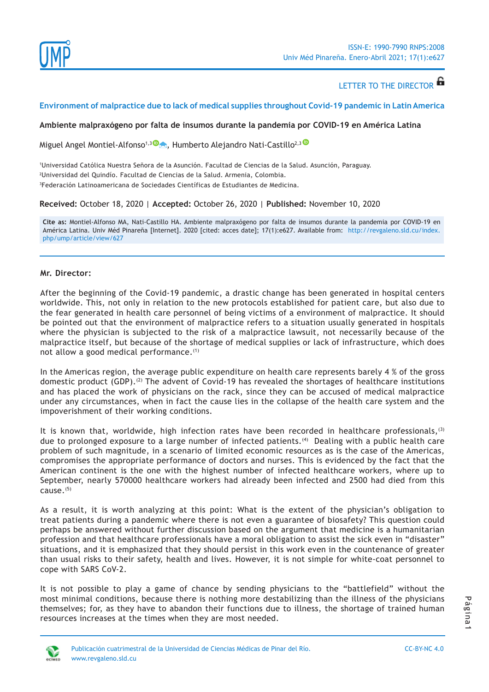

# LETTER TO THE DIRECTOR **6**

## **Environment of malpractice due to lack of medical supplies throughout Covid-19 pandemic in Latin America**

#### **Ambiente malpraxógeno por falta de insumos durante la pandemia por COVID-19 en América Latina**

Miguel Angel Montiel-Alfonso<sup>1,[3](https://orcid.org/0000-0002-9541-4614) (D</sup>A)[,](mailto:miganmontiel%40gmail.com?subject=) Humberto Alejandro Nati-Castillo<sup>2,[3](https://orcid.org/0000-0003-1890-4983) (D</sup>

1 Universidad Católica Nuestra Señora de la Asunción. Facultad de Ciencias de la Salud. Asunción, Paraguay. 2 Universidad del Quindío. Facultad de Ciencias de la Salud. Armenia, Colombia. 3 Federación Latinoamericana de Sociedades Científicas de Estudiantes de Medicina.

**Received:** October 18, 2020 | **Accepted:** October 26, 2020 | **Published:** November 10, 2020

**Cite as:** Montiel-Alfonso MA, Nati-Castillo HA. Ambiente malpraxógeno por falta de insumos durante la pandemia por COVID-19 en América Latina. Univ Méd Pinareña [Internet]. 2020 [cited: acces date]; 17(1):e627. Available from: [http://revgaleno.sld.cu/index.](http://revgaleno.sld.cu/index.php/ump/article/view/627) [php/ump/article/view/627](http://revgaleno.sld.cu/index.php/ump/article/view/627)

## **Mr. Director:**

After the beginning of the Covid-19 pandemic, a drastic change has been generated in hospital centers worldwide. This, not only in relation to the new protocols established for patient care, but also due to the fear generated in health care personnel of being victims of a environment of malpractice. It should be pointed out that the environment of malpractice refers to a situation usually generated in hospitals where the physician is subjected to the risk of a malpractice lawsuit, not necessarily because of the malpractice itself, but because of the shortage of medical supplies or lack of infrastructure, which does not allow a good medical performance.<sup>(1)</sup>

In the Americas region, the average public expenditure on health care represents barely 4 % of the gross domestic product (GDP).<sup>(2)</sup> The advent of Covid-19 has revealed the shortages of healthcare institutions and has placed the work of physicians on the rack, since they can be accused of medical malpractice under any circumstances, when in fact the cause lies in the collapse of the health care system and the impoverishment of their working conditions.

It is known that, worldwide, high infection rates have been recorded in healthcare professionals,<sup>(3)</sup> due to prolonged exposure to a large number of infected patients.<sup>(4)</sup> Dealing with a public health care problem of such magnitude, in a scenario of limited economic resources as is the case of the Americas, compromises the appropriate performance of doctors and nurses. This is evidenced by the fact that the American continent is the one with the highest number of infected healthcare workers, where up to September, nearly 570000 healthcare workers had already been infected and 2500 had died from this  $cause^{(5)}$ 

As a result, it is worth analyzing at this point: What is the extent of the physician's obligation to treat patients during a pandemic where there is not even a guarantee of biosafety? This question could perhaps be answered without further discussion based on the argument that medicine is a humanitarian profession and that healthcare professionals have a moral obligation to assist the sick even in "disaster" situations, and it is emphasized that they should persist in this work even in the countenance of greater than usual risks to their safety, health and lives. However, it is not simple for white-coat personnel to cope with SARS CoV-2.

It is not possible to play a game of chance by sending physicians to the "battlefield" without the most minimal conditions, because there is nothing more destabilizing than the illness of the physicians themselves; for, as they have to abandon their functions due to illness, the shortage of trained human resources increases at the times when they are most needed.